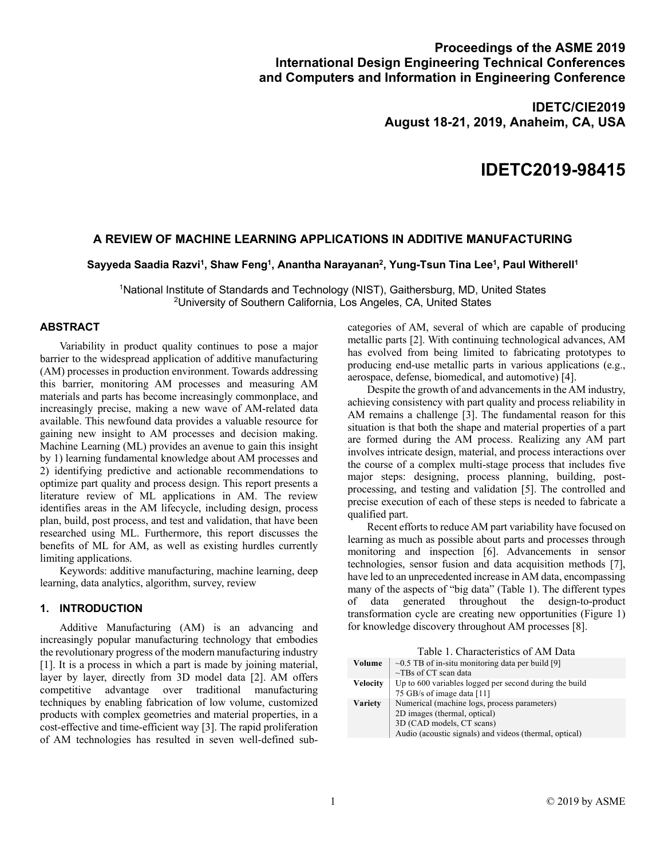# **Proceedings of the ASME 2019 International Design Engineering Technical Conferences and Computers and Information in Engineering Conference**

**IDETC/CIE2019 August 18-21, 2019, Anaheim, CA, USA**

# **IDETC2019-98415**

# **A REVIEW OF MACHINE LEARNING APPLICATIONS IN ADDITIVE MANUFACTURING**

## Sayyeda Saadia Razvi<sup>1</sup>, Shaw Feng<sup>1</sup>, Anantha Narayanan<sup>2</sup>, Yung-Tsun Tina Lee<sup>1</sup>, Paul Witherell<sup>1</sup>

1National Institute of Standards and Technology (NIST), Gaithersburg, MD, United States 2University of Southern California, Los Angeles, CA, United States

## **ABSTRACT**

Variability in product quality continues to pose a major barrier to the widespread application of additive manufacturing (AM) processes in production environment. Towards addressing this barrier, monitoring AM processes and measuring AM materials and parts has become increasingly commonplace, and increasingly precise, making a new wave of AM-related data available. This newfound data provides a valuable resource for gaining new insight to AM processes and decision making. Machine Learning (ML) provides an avenue to gain this insight by 1) learning fundamental knowledge about AM processes and 2) identifying predictive and actionable recommendations to optimize part quality and process design. This report presents a literature review of ML applications in AM. The review identifies areas in the AM lifecycle, including design, process plan, build, post process, and test and validation, that have been researched using ML. Furthermore, this report discusses the benefits of ML for AM, as well as existing hurdles currently limiting applications.

Keywords: additive manufacturing, machine learning, deep learning, data analytics, algorithm, survey, review

## **1. INTRODUCTION**

Additive Manufacturing (AM) is an advancing and increasingly popular manufacturing technology that embodies the revolutionary progress of the modern manufacturing industry [1]. It is a process in which a part is made by joining material, layer by layer, directly from 3D model data [2]. AM offers competitive advantage over traditional manufacturing techniques by enabling fabrication of low volume, customized products with complex geometries and material properties, in a cost-effective and time-efficient way [3]. The rapid proliferation of AM technologies has resulted in seven well-defined subcategories of AM, several of which are capable of producing metallic parts [2]. With continuing technological advances, AM has evolved from being limited to fabricating prototypes to producing end-use metallic parts in various applications (e.g., aerospace, defense, biomedical, and automotive) [4].

Despite the growth of and advancements in the AM industry, achieving consistency with part quality and process reliability in AM remains a challenge [3]. The fundamental reason for this situation is that both the shape and material properties of a part are formed during the AM process. Realizing any AM part involves intricate design, material, and process interactions over the course of a complex multi-stage process that includes five major steps: designing, process planning, building, postprocessing, and testing and validation [5]. The controlled and precise execution of each of these steps is needed to fabricate a qualified part.

Recent efforts to reduce AM part variability have focused on learning as much as possible about parts and processes through monitoring and inspection [6]. Advancements in sensor technologies, sensor fusion and data acquisition methods [7], have led to an unprecedented increase in AM data, encompassing many of the aspects of "big data" (Table 1). The different types of data generated throughout the design-to-product transformation cycle are creating new opportunities (Figure 1) for knowledge discovery throughout AM processes [8].

Table 1. Characteristics of AM Data

| Volume          | $\sim 0.5$ TB of in-situ monitoring data per build [9]<br>$\sim$ TBs of CT scan data                                                                                |
|-----------------|---------------------------------------------------------------------------------------------------------------------------------------------------------------------|
| <b>Velocity</b> | Up to 600 variables logged per second during the build<br>75 GB/s of image data [11]                                                                                |
| <b>Variety</b>  | Numerical (machine logs, process parameters)<br>2D images (thermal, optical)<br>3D (CAD models, CT scans)<br>Audio (acoustic signals) and videos (thermal, optical) |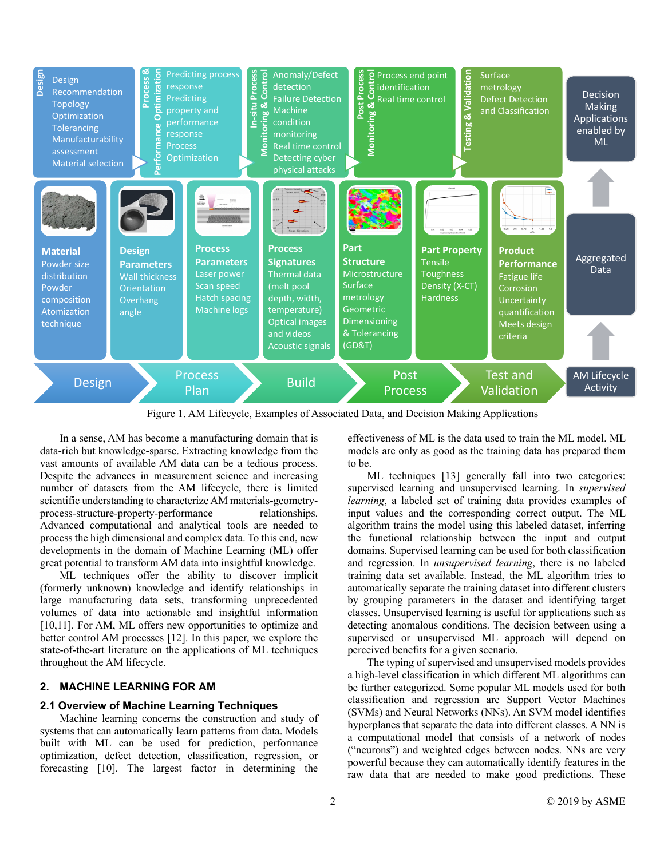

Figure 1. AM Lifecycle, Examples of Associated Data, and Decision Making Applications

In a sense, AM has become a manufacturing domain that is data-rich but knowledge-sparse. Extracting knowledge from the vast amounts of available AM data can be a tedious process. Despite the advances in measurement science and increasing number of datasets from the AM lifecycle, there is limited scientific understanding to characterize AM materials-geometryprocess-structure-property-performance relationships. Advanced computational and analytical tools are needed to process the high dimensional and complex data. To this end, new developments in the domain of Machine Learning (ML) offer great potential to transform AM data into insightful knowledge.

ML techniques offer the ability to discover implicit (formerly unknown) knowledge and identify relationships in large manufacturing data sets, transforming unprecedented volumes of data into actionable and insightful information [10,11]. For AM, ML offers new opportunities to optimize and better control AM processes [12]. In this paper, we explore the state-of-the-art literature on the applications of ML techniques throughout the AM lifecycle.

#### **2. MACHINE LEARNING FOR AM**

#### **2.1 Overview of Machine Learning Techniques**

Machine learning concerns the construction and study of systems that can automatically learn patterns from data. Models built with ML can be used for prediction, performance optimization, defect detection, classification, regression, or forecasting [10]. The largest factor in determining the

effectiveness of ML is the data used to train the ML model. ML models are only as good as the training data has prepared them to be.

ML techniques [13] generally fall into two categories: supervised learning and unsupervised learning. In *supervised learning*, a labeled set of training data provides examples of input values and the corresponding correct output. The ML algorithm trains the model using this labeled dataset, inferring the functional relationship between the input and output domains. Supervised learning can be used for both classification and regression. In *unsupervised learning*, there is no labeled training data set available. Instead, the ML algorithm tries to automatically separate the training dataset into different clusters by grouping parameters in the dataset and identifying target classes. Unsupervised learning is useful for applications such as detecting anomalous conditions. The decision between using a supervised or unsupervised ML approach will depend on perceived benefits for a given scenario.

The typing of supervised and unsupervised models provides a high-level classification in which different ML algorithms can be further categorized. Some popular ML models used for both classification and regression are Support Vector Machines (SVMs) and Neural Networks (NNs). An SVM model identifies hyperplanes that separate the data into different classes. A NN is a computational model that consists of a network of nodes ("neurons") and weighted edges between nodes. NNs are very powerful because they can automatically identify features in the raw data that are needed to make good predictions. These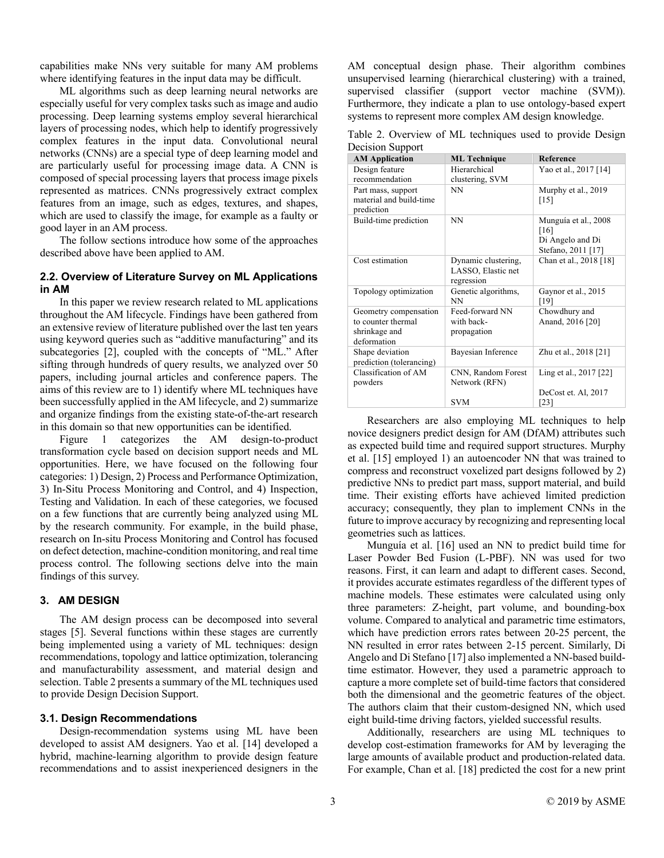capabilities make NNs very suitable for many AM problems where identifying features in the input data may be difficult.

ML algorithms such as deep learning neural networks are especially useful for very complex tasks such as image and audio processing. Deep learning systems employ several hierarchical layers of processing nodes, which help to identify progressively complex features in the input data. Convolutional neural networks (CNNs) are a special type of deep learning model and are particularly useful for processing image data. A CNN is composed of special processing layers that process image pixels represented as matrices. CNNs progressively extract complex features from an image, such as edges, textures, and shapes, which are used to classify the image, for example as a faulty or good layer in an AM process.

The follow sections introduce how some of the approaches described above have been applied to AM.

## **2.2. Overview of Literature Survey on ML Applications in AM**

In this paper we review research related to ML applications throughout the AM lifecycle. Findings have been gathered from an extensive review of literature published over the last ten years using keyword queries such as "additive manufacturing" and its subcategories [2], coupled with the concepts of "ML." After sifting through hundreds of query results, we analyzed over 50 papers, including journal articles and conference papers. The aims of this review are to 1) identify where ML techniques have been successfully applied in the AM lifecycle, and 2) summarize and organize findings from the existing state-of-the-art research in this domain so that new opportunities can be identified.

Figure 1 categorizes the AM design-to-product transformation cycle based on decision support needs and ML opportunities. Here, we have focused on the following four categories: 1) Design, 2) Process and Performance Optimization, 3) In-Situ Process Monitoring and Control, and 4) Inspection, Testing and Validation. In each of these categories, we focused on a few functions that are currently being analyzed using ML by the research community. For example, in the build phase, research on In-situ Process Monitoring and Control has focused on defect detection, machine-condition monitoring, and real time process control. The following sections delve into the main findings of this survey.

#### **3. AM DESIGN**

The AM design process can be decomposed into several stages [5]. Several functions within these stages are currently being implemented using a variety of ML techniques: design recommendations, topology and lattice optimization, tolerancing and manufacturability assessment, and material design and selection. Table 2 presents a summary of the ML techniques used to provide Design Decision Support.

#### **3.1. Design Recommendations**

Design-recommendation systems using ML have been developed to assist AM designers. Yao et al. [14] developed a hybrid, machine-learning algorithm to provide design feature recommendations and to assist inexperienced designers in the AM conceptual design phase. Their algorithm combines unsupervised learning (hierarchical clustering) with a trained, supervised classifier (support vector machine (SVM)). Furthermore, they indicate a plan to use ontology-based expert systems to represent more complex AM design knowledge.

Table 2. Overview of ML techniques used to provide Design Decision Support

| <b>AM Application</b>                                                       | <b>ML</b> Technique                                     | <b>Reference</b>                                                       |
|-----------------------------------------------------------------------------|---------------------------------------------------------|------------------------------------------------------------------------|
| Design feature                                                              | Hierarchical                                            | Yao et al., 2017 [14]                                                  |
| recommendation                                                              | clustering, SVM                                         |                                                                        |
| Part mass, support<br>material and build-time<br>prediction                 | NN                                                      | Murphy et al., 2019<br>$[15]$                                          |
| Build-time prediction                                                       | <b>NN</b>                                               | Munguía et al., 2008<br>[16]<br>Di Angelo and Di<br>Stefano, 2011 [17] |
| Cost estimation                                                             | Dynamic clustering,<br>LASSO, Elastic net<br>regression | Chan et al., 2018 [18]                                                 |
| Topology optimization                                                       | Genetic algorithms,<br>NN                               | Gaynor et al., 2015<br>[19]                                            |
| Geometry compensation<br>to counter thermal<br>shrinkage and<br>deformation | Feed-forward NN<br>with back-<br>propagation            | Chowdhury and<br>Anand, 2016 [20]                                      |
| Shape deviation<br>prediction (tolerancing)                                 | Bayesian Inference                                      | Zhu et al., 2018 [21]                                                  |
| Classification of AM<br>powders                                             | CNN, Random Forest<br>Network (RFN)                     | Ling et al., 2017 [22]                                                 |
|                                                                             | <b>SVM</b>                                              | DeCost et. Al, 2017<br>[23]                                            |

Researchers are also employing ML techniques to help novice designers predict design for AM (DfAM) attributes such as expected build time and required support structures. Murphy et al. [15] employed 1) an autoencoder NN that was trained to compress and reconstruct voxelized part designs followed by 2) predictive NNs to predict part mass, support material, and build time. Their existing efforts have achieved limited prediction accuracy; consequently, they plan to implement CNNs in the future to improve accuracy by recognizing and representing local geometries such as lattices.

Munguía et al. [16] used an NN to predict build time for Laser Powder Bed Fusion (L-PBF). NN was used for two reasons. First, it can learn and adapt to different cases. Second, it provides accurate estimates regardless of the different types of machine models. These estimates were calculated using only three parameters: Z-height, part volume, and bounding-box volume. Compared to analytical and parametric time estimators, which have prediction errors rates between 20-25 percent, the NN resulted in error rates between 2-15 percent. Similarly, Di Angelo and Di Stefano [17] also implemented a NN-based buildtime estimator. However, they used a parametric approach to capture a more complete set of build-time factors that considered both the dimensional and the geometric features of the object. The authors claim that their custom-designed NN, which used eight build-time driving factors, yielded successful results.

Additionally, researchers are using ML techniques to develop cost-estimation frameworks for AM by leveraging the large amounts of available product and production-related data. For example, Chan et al. [18] predicted the cost for a new print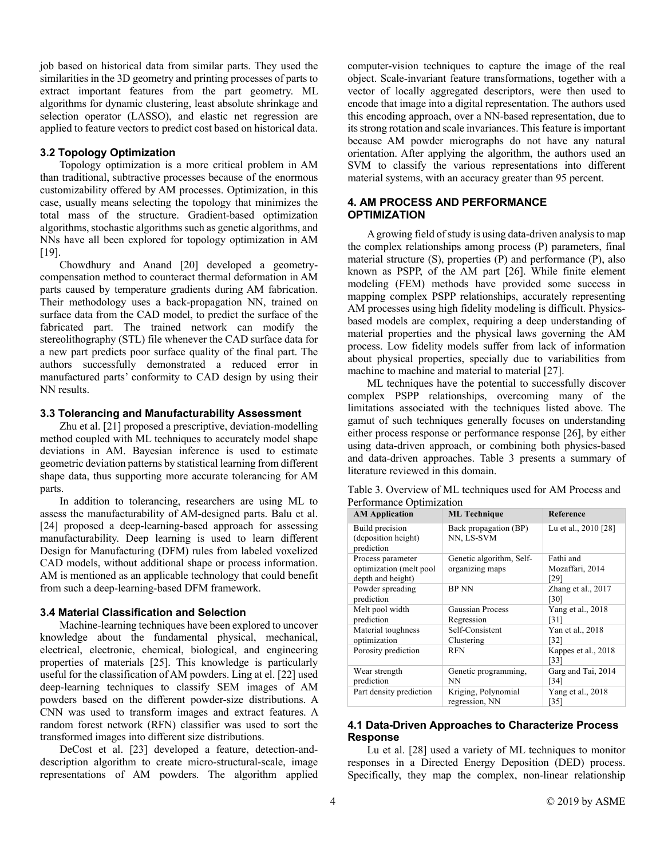job based on historical data from similar parts. They used the similarities in the 3D geometry and printing processes of parts to extract important features from the part geometry. ML algorithms for dynamic clustering, least absolute shrinkage and selection operator (LASSO), and elastic net regression are applied to feature vectors to predict cost based on historical data.

## **3.2 Topology Optimization**

Topology optimization is a more critical problem in AM than traditional, subtractive processes because of the enormous customizability offered by AM processes. Optimization, in this case, usually means selecting the topology that minimizes the total mass of the structure. Gradient-based optimization algorithms, stochastic algorithms such as genetic algorithms, and NNs have all been explored for topology optimization in AM [19].

Chowdhury and Anand [20] developed a geometrycompensation method to counteract thermal deformation in AM parts caused by temperature gradients during AM fabrication. Their methodology uses a back-propagation NN, trained on surface data from the CAD model, to predict the surface of the fabricated part. The trained network can modify the stereolithography (STL) file whenever the CAD surface data for a new part predicts poor surface quality of the final part. The authors successfully demonstrated a reduced error in manufactured parts' conformity to CAD design by using their NN results.

#### **3.3 Tolerancing and Manufacturability Assessment**

Zhu et al. [21] proposed a prescriptive, deviation-modelling method coupled with ML techniques to accurately model shape deviations in AM. Bayesian inference is used to estimate geometric deviation patterns by statistical learning from different shape data, thus supporting more accurate tolerancing for AM parts.

In addition to tolerancing, researchers are using ML to assess the manufacturability of AM-designed parts. Balu et al. [24] proposed a deep-learning-based approach for assessing manufacturability. Deep learning is used to learn different Design for Manufacturing (DFM) rules from labeled voxelized CAD models, without additional shape or process information. AM is mentioned as an applicable technology that could benefit from such a deep-learning-based DFM framework.

#### **3.4 Material Classification and Selection**

Machine-learning techniques have been explored to uncover knowledge about the fundamental physical, mechanical, electrical, electronic, chemical, biological, and engineering properties of materials [25]. This knowledge is particularly useful for the classification of AM powders. Ling at el. [22] used deep-learning techniques to classify SEM images of AM powders based on the different powder-size distributions. A CNN was used to transform images and extract features. A random forest network (RFN) classifier was used to sort the transformed images into different size distributions.

DeCost et al. [23] developed a feature, detection-anddescription algorithm to create micro-structural-scale, image representations of AM powders. The algorithm applied computer-vision techniques to capture the image of the real object. Scale-invariant feature transformations, together with a vector of locally aggregated descriptors, were then used to encode that image into a digital representation. The authors used this encoding approach, over a NN-based representation, due to its strong rotation and scale invariances. This feature is important because AM powder micrographs do not have any natural orientation. After applying the algorithm, the authors used an SVM to classify the various representations into different material systems, with an accuracy greater than 95 percent.

## **4. AM PROCESS AND PERFORMANCE OPTIMIZATION**

A growing field of study is using data-driven analysisto map the complex relationships among process (P) parameters, final material structure (S), properties (P) and performance (P), also known as PSPP, of the AM part [26]. While finite element modeling (FEM) methods have provided some success in mapping complex PSPP relationships, accurately representing AM processes using high fidelity modeling is difficult. Physicsbased models are complex, requiring a deep understanding of material properties and the physical laws governing the AM process. Low fidelity models suffer from lack of information about physical properties, specially due to variabilities from machine to machine and material to material [27].

ML techniques have the potential to successfully discover complex PSPP relationships, overcoming many of the limitations associated with the techniques listed above. The gamut of such techniques generally focuses on understanding either process response or performance response [26], by either using data-driven approach, or combining both physics-based and data-driven approaches. Table 3 presents a summary of literature reviewed in this domain.

Table 3. Overview of ML techniques used for AM Process and Performance Optimization

| <b>AM Application</b>                                | <b>ML</b> Technique                   | Reference                   |
|------------------------------------------------------|---------------------------------------|-----------------------------|
| Build precision<br>(deposition height)<br>prediction | Back propagation (BP)<br>NN, LS-SVM   | Lu et al., 2010 [28]        |
| Process parameter                                    | Genetic algorithm, Self-              | Fathi and                   |
| optimization (melt pool<br>depth and height)         | organizing maps                       | Mozaffari, 2014<br>[29]     |
| Powder spreading<br>prediction                       | <b>BP NN</b>                          | Zhang et al., 2017<br>[30]  |
| Melt pool width<br>prediction                        | Gaussian Process<br>Regression        | Yang et al., 2018<br>[31]   |
| Material toughness<br>optimization                   | Self-Consistent<br>Clustering         | Yan et al., 2018<br>[32]    |
| Porosity prediction                                  | <b>RFN</b>                            | Kappes et al., 2018<br>[33] |
| Wear strength<br>prediction                          | Genetic programming,<br>NN            | Garg and Tai, 2014<br>[34]  |
| Part density prediction                              | Kriging, Polynomial<br>regression, NN | Yang et al., 2018<br>[35]   |

## **4.1 Data-Driven Approaches to Characterize Process Response**

Lu et al. [28] used a variety of ML techniques to monitor responses in a Directed Energy Deposition (DED) process. Specifically, they map the complex, non-linear relationship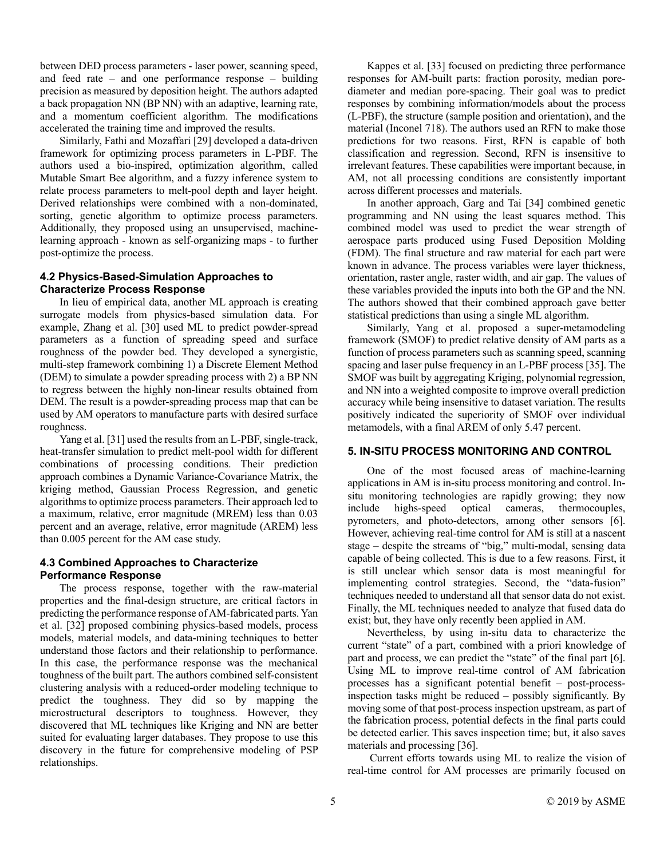between DED process parameters - laser power, scanning speed, and feed rate – and one performance response – building precision as measured by deposition height. The authors adapted a back propagation NN (BP NN) with an adaptive, learning rate, and a momentum coefficient algorithm. The modifications accelerated the training time and improved the results.

Similarly, Fathi and Mozaffari [29] developed a data-driven framework for optimizing process parameters in L-PBF. The authors used a bio-inspired, optimization algorithm, called Mutable Smart Bee algorithm, and a fuzzy inference system to relate process parameters to melt-pool depth and layer height. Derived relationships were combined with a non-dominated, sorting, genetic algorithm to optimize process parameters. Additionally, they proposed using an unsupervised, machinelearning approach - known as self-organizing maps - to further post-optimize the process.

## **4.2 Physics-Based-Simulation Approaches to Characterize Process Response**

In lieu of empirical data, another ML approach is creating surrogate models from physics-based simulation data. For example, Zhang et al. [30] used ML to predict powder-spread parameters as a function of spreading speed and surface roughness of the powder bed. They developed a synergistic, multi-step framework combining 1) a Discrete Element Method (DEM) to simulate a powder spreading process with 2) a BP NN to regress between the highly non-linear results obtained from DEM. The result is a powder-spreading process map that can be used by AM operators to manufacture parts with desired surface roughness.

Yang et al. [31] used the results from an L-PBF, single-track, heat-transfer simulation to predict melt-pool width for different combinations of processing conditions. Their prediction approach combines a Dynamic Variance-Covariance Matrix, the kriging method, Gaussian Process Regression, and genetic algorithms to optimize process parameters. Their approach led to a maximum, relative, error magnitude (MREM) less than 0.03 percent and an average, relative, error magnitude (AREM) less than 0.005 percent for the AM case study.

## **4.3 Combined Approaches to Characterize Performance Response**

The process response, together with the raw-material properties and the final-design structure, are critical factors in predicting the performance response of AM-fabricated parts. Yan et al. [32] proposed combining physics-based models, process models, material models, and data-mining techniques to better understand those factors and their relationship to performance. In this case, the performance response was the mechanical toughness of the built part. The authors combined self-consistent clustering analysis with a reduced-order modeling technique to predict the toughness. They did so by mapping the microstructural descriptors to toughness. However, they discovered that ML techniques like Kriging and NN are better suited for evaluating larger databases. They propose to use this discovery in the future for comprehensive modeling of PSP relationships.

Kappes et al. [33] focused on predicting three performance responses for AM-built parts: fraction porosity, median porediameter and median pore-spacing. Their goal was to predict responses by combining information/models about the process (L-PBF), the structure (sample position and orientation), and the material (Inconel 718). The authors used an RFN to make those predictions for two reasons. First, RFN is capable of both classification and regression. Second, RFN is insensitive to irrelevant features. These capabilities were important because, in AM, not all processing conditions are consistently important across different processes and materials.

In another approach, Garg and Tai [34] combined genetic programming and NN using the least squares method. This combined model was used to predict the wear strength of aerospace parts produced using Fused Deposition Molding (FDM). The final structure and raw material for each part were known in advance. The process variables were layer thickness, orientation, raster angle, raster width, and air gap. The values of these variables provided the inputs into both the GP and the NN. The authors showed that their combined approach gave better statistical predictions than using a single ML algorithm.

Similarly, Yang et al. proposed a super-metamodeling framework (SMOF) to predict relative density of AM parts as a function of process parameters such as scanning speed, scanning spacing and laser pulse frequency in an L-PBF process [35]. The SMOF was built by aggregating Kriging, polynomial regression, and NN into a weighted composite to improve overall prediction accuracy while being insensitive to dataset variation. The results positively indicated the superiority of SMOF over individual metamodels, with a final AREM of only 5.47 percent.

## **5. IN-SITU PROCESS MONITORING AND CONTROL**

One of the most focused areas of machine-learning applications in AM is in-situ process monitoring and control. Insitu monitoring technologies are rapidly growing; they now include highs-speed optical cameras, thermocouples, pyrometers, and photo-detectors, among other sensors [6]. However, achieving real-time control for AM is still at a nascent stage – despite the streams of "big," multi-modal, sensing data capable of being collected. This is due to a few reasons. First, it is still unclear which sensor data is most meaningful for implementing control strategies. Second, the "data-fusion" techniques needed to understand all that sensor data do not exist. Finally, the ML techniques needed to analyze that fused data do exist; but, they have only recently been applied in AM.

Nevertheless, by using in-situ data to characterize the current "state" of a part, combined with a priori knowledge of part and process, we can predict the "state" of the final part [6]. Using ML to improve real-time control of AM fabrication processes has a significant potential benefit – post-processinspection tasks might be reduced – possibly significantly. By moving some of that post-process inspection upstream, as part of the fabrication process, potential defects in the final parts could be detected earlier. This saves inspection time; but, it also saves materials and processing [36].

Current efforts towards using ML to realize the vision of real-time control for AM processes are primarily focused on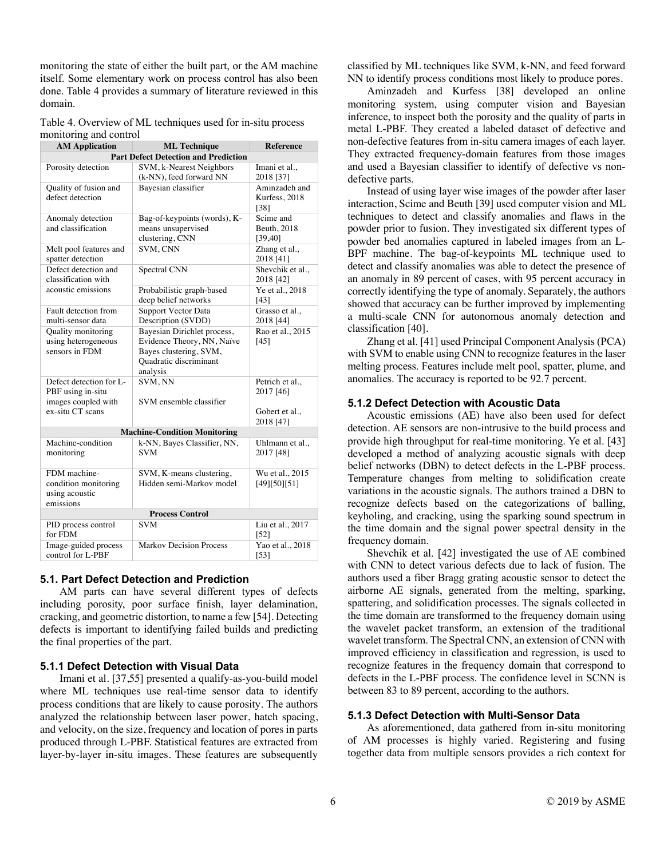monitoring the state of either the built part, or the AM machine itself. Some elementary work on process control has also been done. Table 4 provides a summary of literature reviewed in this domain.

Table 4. Overview of ML techniques used for in-situ process monitoring and control

| <b>AM Application</b>   | <b>ML</b> Technique                                  | <b>Reference</b>                |  |  |  |
|-------------------------|------------------------------------------------------|---------------------------------|--|--|--|
|                         | <b>Part Defect Detection and Prediction</b>          |                                 |  |  |  |
| Porosity detection      | SVM, k-Nearest Neighbors                             | Imani et al.,                   |  |  |  |
|                         | (k-NN), feed forward NN                              | 2018 [37]                       |  |  |  |
| Quality of fusion and   | Bayesian classifier                                  | Aminzadeh and                   |  |  |  |
| defect detection        |                                                      | Kurfess, 2018                   |  |  |  |
|                         |                                                      | [38]                            |  |  |  |
| Anomaly detection       | Bag-of-keypoints (words), K-                         | Scime and                       |  |  |  |
| and classification      | means unsupervised                                   | Beuth, 2018                     |  |  |  |
|                         | clustering, CNN                                      | [39, 40]                        |  |  |  |
| Melt pool features and  | SVM, CNN                                             | Zhang et al.,                   |  |  |  |
| spatter detection       |                                                      | 2018 [41]                       |  |  |  |
| Defect detection and    | Spectral CNN                                         | Shevchik et al.,                |  |  |  |
| classification with     |                                                      | 2018 [42]                       |  |  |  |
| acoustic emissions      | Probabilistic graph-based                            | Ye et al., 2018                 |  |  |  |
| Fault detection from    | deep belief networks<br>Support Vector Data          | [43]<br>Grasso et al.,          |  |  |  |
| multi-sensor data       | Description (SVDD)                                   | 2018 [44]                       |  |  |  |
| Quality monitoring      | Bayesian Dirichlet process,                          | Rao et al., 2015                |  |  |  |
| using heterogeneous     | Evidence Theory, NN, Naïve                           | $[45]$                          |  |  |  |
| sensors in FDM          | Bayes clustering, SVM,                               |                                 |  |  |  |
|                         | Quadratic discriminant                               |                                 |  |  |  |
|                         | analysis                                             |                                 |  |  |  |
| Defect detection for L- | SVM, NN                                              | Petrich et al.,                 |  |  |  |
| PBF using in-situ       |                                                      | 2017 [46]                       |  |  |  |
| images coupled with     | SVM ensemble classifier                              |                                 |  |  |  |
| ex-situ CT scans        |                                                      | Gobert et al.,                  |  |  |  |
|                         |                                                      | 2018 [47]                       |  |  |  |
|                         | <b>Machine-Condition Monitoring</b>                  |                                 |  |  |  |
| Machine-condition       | k-NN, Bayes Classifier, NN,                          | Uhlmann et al.,                 |  |  |  |
| monitoring              | <b>SVM</b>                                           | 2017 [48]                       |  |  |  |
| FDM machine-            |                                                      |                                 |  |  |  |
| condition monitoring    | SVM, K-means clustering,<br>Hidden semi-Markov model | Wu et al., 2015<br>[49][50][51] |  |  |  |
| using acoustic          |                                                      |                                 |  |  |  |
| emissions               |                                                      |                                 |  |  |  |
| <b>Process Control</b>  |                                                      |                                 |  |  |  |
| PID process control     | <b>SVM</b>                                           | Liu et al., 2017                |  |  |  |
| for FDM                 |                                                      | $[52]$                          |  |  |  |
| Image-guided process    | <b>Markov Decision Process</b>                       | Yao et al., $2018$              |  |  |  |
| control for L-PBF       |                                                      | $[53]$                          |  |  |  |

#### **5.1. Part Defect Detection and Prediction**

AM parts can have several different types of defects including porosity, poor surface finish, layer delamination, cracking, and geometric distortion, to name a few [54]. Detecting defects is important to identifying failed builds and predicting the final properties of the part.

#### **5.1.1 Defect Detection with Visual Data**

Imani et al. [37,55] presented a qualify-as-you-build model where ML techniques use real-time sensor data to identify process conditions that are likely to cause porosity. The authors analyzed the relationship between laser power, hatch spacing, and velocity, on the size, frequency and location of pores in parts produced through L-PBF. Statistical features are extracted from layer-by-layer in-situ images. These features are subsequently classified by ML techniques like SVM, k-NN, and feed forward NN to identify process conditions most likely to produce pores.

Aminzadeh and Kurfess [38] developed an online monitoring system, using computer vision and Bayesian inference, to inspect both the porosity and the quality of parts in metal L-PBF. They created a labeled dataset of defective and non-defective features from in-situ camera images of each layer. They extracted frequency-domain features from those images and used a Bayesian classifier to identify of defective vs nondefective parts.

Instead of using layer wise images of the powder after laser interaction, Scime and Beuth [39] used computer vision and ML techniques to detect and classify anomalies and flaws in the powder prior to fusion. They investigated six different types of powder bed anomalies captured in labeled images from an L-BPF machine. The bag-of-keypoints ML technique used to detect and classify anomalies was able to detect the presence of an anomaly in 89 percent of cases, with 95 percent accuracy in correctly identifying the type of anomaly. Separately, the authors showed that accuracy can be further improved by implementing a multi-scale CNN for autonomous anomaly detection and classification [40].

Zhang et al. [41] used Principal Component Analysis (PCA) with SVM to enable using CNN to recognize features in the laser melting process. Features include melt pool, spatter, plume, and anomalies. The accuracy is reported to be 92.7 percent.

## **5.1.2 Defect Detection with Acoustic Data**

Acoustic emissions (AE) have also been used for defect detection. AE sensors are non-intrusive to the build process and provide high throughput for real-time monitoring. Ye et al. [43] developed a method of analyzing acoustic signals with deep belief networks (DBN) to detect defects in the L-PBF process. Temperature changes from melting to solidification create variations in the acoustic signals. The authors trained a DBN to recognize defects based on the categorizations of balling, keyholing, and cracking, using the sparking sound spectrum in the time domain and the signal power spectral density in the frequency domain.

Shevchik et al. [42] investigated the use of AE combined with CNN to detect various defects due to lack of fusion. The authors used a fiber Bragg grating acoustic sensor to detect the airborne AE signals, generated from the melting, sparking, spattering, and solidification processes. The signals collected in the time domain are transformed to the frequency domain using the wavelet packet transform, an extension of the traditional wavelet transform. The Spectral CNN, an extension of CNN with improved efficiency in classification and regression, is used to recognize features in the frequency domain that correspond to defects in the L-PBF process. The confidence level in SCNN is between 83 to 89 percent, according to the authors.

#### **5.1.3 Defect Detection with Multi-Sensor Data**

As aforementioned, data gathered from in-situ monitoring of AM processes is highly varied. Registering and fusing together data from multiple sensors provides a rich context for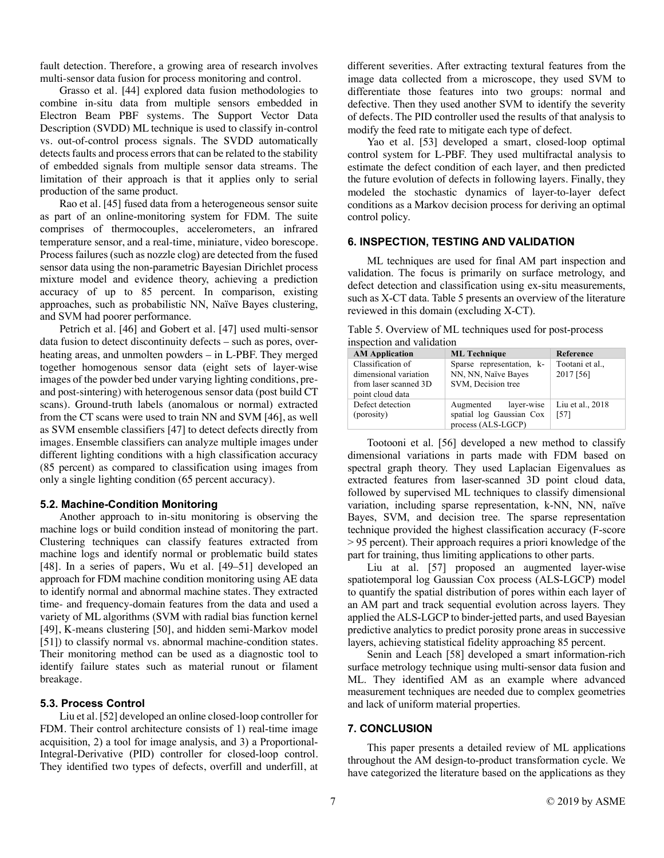fault detection. Therefore, a growing area of research involves multi-sensor data fusion for process monitoring and control.

Grasso et al. [44] explored data fusion methodologies to combine in-situ data from multiple sensors embedded in Electron Beam PBF systems. The Support Vector Data Description (SVDD) ML technique is used to classify in-control vs. out-of-control process signals. The SVDD automatically detects faults and process errors that can be related to the stability of embedded signals from multiple sensor data streams. The limitation of their approach is that it applies only to serial production of the same product.

Rao et al. [45] fused data from a heterogeneous sensor suite as part of an online-monitoring system for FDM. The suite comprises of thermocouples, accelerometers, an infrared temperature sensor, and a real-time, miniature, video borescope. Process failures (such as nozzle clog) are detected from the fused sensor data using the non-parametric Bayesian Dirichlet process mixture model and evidence theory, achieving a prediction accuracy of up to 85 percent. In comparison, existing approaches, such as probabilistic NN, Naïve Bayes clustering, and SVM had poorer performance.

Petrich et al. [46] and Gobert et al. [47] used multi-sensor data fusion to detect discontinuity defects – such as pores, overheating areas, and unmolten powders – in L-PBF. They merged together homogenous sensor data (eight sets of layer-wise images of the powder bed under varying lighting conditions, preand post-sintering) with heterogenous sensor data (post build CT scans). Ground-truth labels (anomalous or normal) extracted from the CT scans were used to train NN and SVM [46], as well as SVM ensemble classifiers [47] to detect defects directly from images. Ensemble classifiers can analyze multiple images under different lighting conditions with a high classification accuracy (85 percent) as compared to classification using images from only a single lighting condition (65 percent accuracy).

#### **5.2. Machine-Condition Monitoring**

Another approach to in-situ monitoring is observing the machine logs or build condition instead of monitoring the part. Clustering techniques can classify features extracted from machine logs and identify normal or problematic build states [48]. In a series of papers, Wu et al. [49–51] developed an approach for FDM machine condition monitoring using AE data to identify normal and abnormal machine states. They extracted time- and frequency-domain features from the data and used a variety of ML algorithms (SVM with radial bias function kernel [49], K-means clustering [50], and hidden semi-Markov model [51]) to classify normal vs. abnormal machine-condition states. Their monitoring method can be used as a diagnostic tool to identify failure states such as material runout or filament breakage.

#### **5.3. Process Control**

Liu et al. [52] developed an online closed-loop controller for FDM. Their control architecture consists of 1) real-time image acquisition, 2) a tool for image analysis, and 3) a Proportional-Integral-Derivative (PID) controller for closed-loop control. They identified two types of defects, overfill and underfill, at

different severities. After extracting textural features from the image data collected from a microscope, they used SVM to differentiate those features into two groups: normal and defective. Then they used another SVM to identify the severity of defects. The PID controller used the results of that analysis to modify the feed rate to mitigate each type of defect.

Yao et al. [53] developed a smart, closed-loop optimal control system for L-PBF. They used multifractal analysis to estimate the defect condition of each layer, and then predicted the future evolution of defects in following layers. Finally, they modeled the stochastic dynamics of layer-to-layer defect conditions as a Markov decision process for deriving an optimal control policy.

#### **6. INSPECTION, TESTING AND VALIDATION**

ML techniques are used for final AM part inspection and validation. The focus is primarily on surface metrology, and defect detection and classification using ex-situ measurements, such as X-CT data. Table 5 presents an overview of the literature reviewed in this domain (excluding X-CT).

Table 5. Overview of ML techniques used for post-process inspection and validation

| <b>AM Application</b>                                                                   | <b>ML</b> Technique                                                       | Reference                    |
|-----------------------------------------------------------------------------------------|---------------------------------------------------------------------------|------------------------------|
| Classification of<br>dimensional variation<br>from laser scanned 3D<br>point cloud data | Sparse representation, k-<br>NN, NN, Naïve Bayes<br>SVM. Decision tree    | Tootani et al.,<br>2017 [56] |
| Defect detection<br>(porosity)                                                          | Augmented<br>layer-wise<br>spatial log Gaussian Cox<br>process (ALS-LGCP) | Liu et al., 2018<br>[57]     |

Tootooni et al. [56] developed a new method to classify dimensional variations in parts made with FDM based on spectral graph theory. They used Laplacian Eigenvalues as extracted features from laser-scanned 3D point cloud data, followed by supervised ML techniques to classify dimensional variation, including sparse representation, k-NN, NN, naïve Bayes, SVM, and decision tree. The sparse representation technique provided the highest classification accuracy (F-score > 95 percent). Their approach requires a priori knowledge of the part for training, thus limiting applications to other parts.

Liu at al. [57] proposed an augmented layer-wise spatiotemporal log Gaussian Cox process (ALS-LGCP) model to quantify the spatial distribution of pores within each layer of an AM part and track sequential evolution across layers. They applied the ALS-LGCP to binder-jetted parts, and used Bayesian predictive analytics to predict porosity prone areas in successive layers, achieving statistical fidelity approaching 85 percent.

Senin and Leach [58] developed a smart information-rich surface metrology technique using multi-sensor data fusion and ML. They identified AM as an example where advanced measurement techniques are needed due to complex geometries and lack of uniform material properties.

## **7. CONCLUSION**

This paper presents a detailed review of ML applications throughout the AM design-to-product transformation cycle. We have categorized the literature based on the applications as they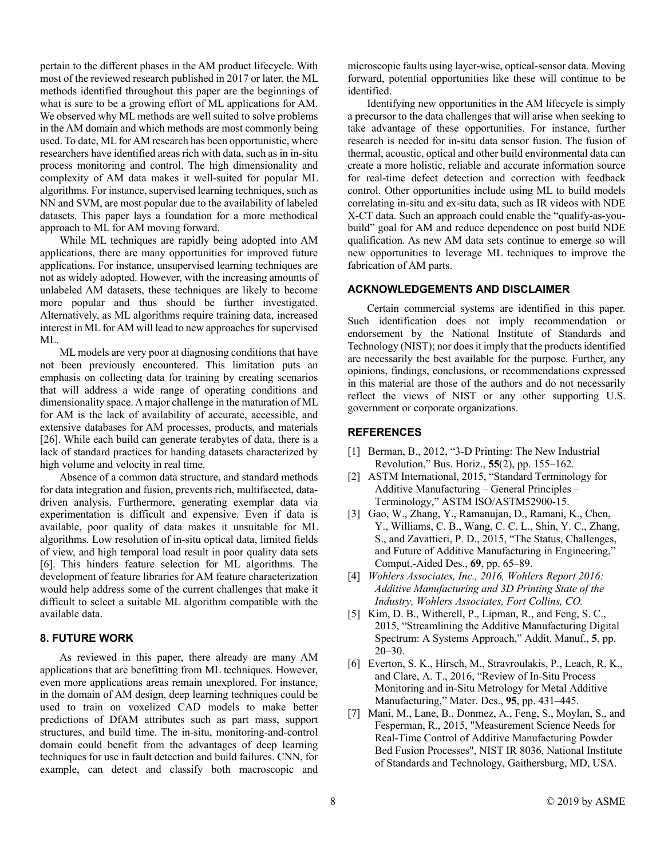pertain to the different phases in the AM product lifecycle. With most of the reviewed research published in 2017 or later, the ML methods identified throughout this paper are the beginnings of what is sure to be a growing effort of ML applications for AM. We observed why ML methods are well suited to solve problems in the AM domain and which methods are most commonly being used. To date, ML for AM research has been opportunistic, where researchers have identified areas rich with data, such as in in-situ process monitoring and control. The high dimensionality and complexity of AM data makes it well-suited for popular ML algorithms. For instance, supervised learning techniques, such as NN and SVM, are most popular due to the availability of labeled datasets. This paper lays a foundation for a more methodical approach to ML for AM moving forward.

While ML techniques are rapidly being adopted into AM applications, there are many opportunities for improved future applications. For instance, unsupervised learning techniques are not as widely adopted. However, with the increasing amounts of unlabeled AM datasets, these techniques are likely to become more popular and thus should be further investigated. Alternatively, as ML algorithms require training data, increased interest in ML for AM will lead to new approaches for supervised ML.

ML models are very poor at diagnosing conditions that have not been previously encountered. This limitation puts an emphasis on collecting data for training by creating scenarios that will address a wide range of operating conditions and dimensionality space. A major challenge in the maturation of ML for AM is the lack of availability of accurate, accessible, and extensive databases for AM processes, products, and materials [26]. While each build can generate terabytes of data, there is a lack of standard practices for handing datasets characterized by high volume and velocity in real time.

Absence of a common data structure, and standard methods for data integration and fusion, prevents rich, multifaceted, datadriven analysis. Furthermore, generating exemplar data via experimentation is difficult and expensive. Even if data is available, poor quality of data makes it unsuitable for ML algorithms. Low resolution of in-situ optical data, limited fields of view, and high temporal load result in poor quality data sets [6]. This hinders feature selection for ML algorithms. The development of feature libraries for AM feature characterization would help address some of the current challenges that make it difficult to select a suitable ML algorithm compatible with the available data.

## **8. FUTURE WORK**

As reviewed in this paper, there already are many AM applications that are benefitting from ML techniques. However, even more applications areas remain unexplored. For instance, in the domain of AM design, deep learning techniques could be used to train on voxelized CAD models to make better predictions of DfAM attributes such as part mass, support structures, and build time. The in-situ, monitoring-and-control domain could benefit from the advantages of deep learning techniques for use in fault detection and build failures. CNN, for example, can detect and classify both macroscopic and microscopic faults using layer-wise, optical-sensor data. Moving forward, potential opportunities like these will continue to be identified.

Identifying new opportunities in the AM lifecycle is simply a precursor to the data challenges that will arise when seeking to take advantage of these opportunities. For instance, further research is needed for in-situ data sensor fusion. The fusion of thermal, acoustic, optical and other build environmental data can create a more holistic, reliable and accurate information source for real-time defect detection and correction with feedback control. Other opportunities include using ML to build models correlating in-situ and ex-situ data, such as IR videos with NDE X-CT data. Such an approach could enable the "qualify-as-youbuild" goal for AM and reduce dependence on post build NDE qualification. As new AM data sets continue to emerge so will new opportunities to leverage ML techniques to improve the fabrication of AM parts.

#### **ACKNOWLEDGEMENTS AND DISCLAIMER**

Certain commercial systems are identified in this paper. Such identification does not imply recommendation or endorsement by the National Institute of Standards and Technology (NIST); nor does it imply that the products identified are necessarily the best available for the purpose. Further, any opinions, findings, conclusions, or recommendations expressed in this material are those of the authors and do not necessarily reflect the views of NIST or any other supporting U.S. government or corporate organizations.

## **REFERENCES**

- [1] Berman, B., 2012, "3-D Printing: The New Industrial Revolution," Bus. Horiz., **55**(2), pp. 155–162.
- [2] ASTM International, 2015, "Standard Terminology for Additive Manufacturing – General Principles – Terminology," ASTM ISO/ASTM52900-15.
- [3] Gao, W., Zhang, Y., Ramanujan, D., Ramani, K., Chen, Y., Williams, C. B., Wang, C. C. L., Shin, Y. C., Zhang, S., and Zavattieri, P. D., 2015, "The Status, Challenges, and Future of Additive Manufacturing in Engineering," Comput.-Aided Des., **69**, pp. 65–89.
- [4] *Wohlers Associates, Inc., 2016, Wohlers Report 2016: Additive Manufacturing and 3D Printing State of the Industry, Wohlers Associates, Fort Collins, CO.*
- [5] Kim, D. B., Witherell, P., Lipman, R., and Feng, S. C., 2015, "Streamlining the Additive Manufacturing Digital Spectrum: A Systems Approach," Addit. Manuf., **5**, pp. 20–30.
- [6] Everton, S. K., Hirsch, M., Stravroulakis, P., Leach, R. K., and Clare, A. T., 2016, "Review of In-Situ Process Monitoring and in-Situ Metrology for Metal Additive Manufacturing," Mater. Des., **95**, pp. 431–445.
- [7] Mani, M., Lane, B., Donmez, A., Feng, S., Moylan, S., and Fesperman, R., 2015, "Measurement Science Needs for Real-Time Control of Additive Manufacturing Powder Bed Fusion Processes", NIST IR 8036, National Institute of Standards and Technology, Gaithersburg, MD, USA.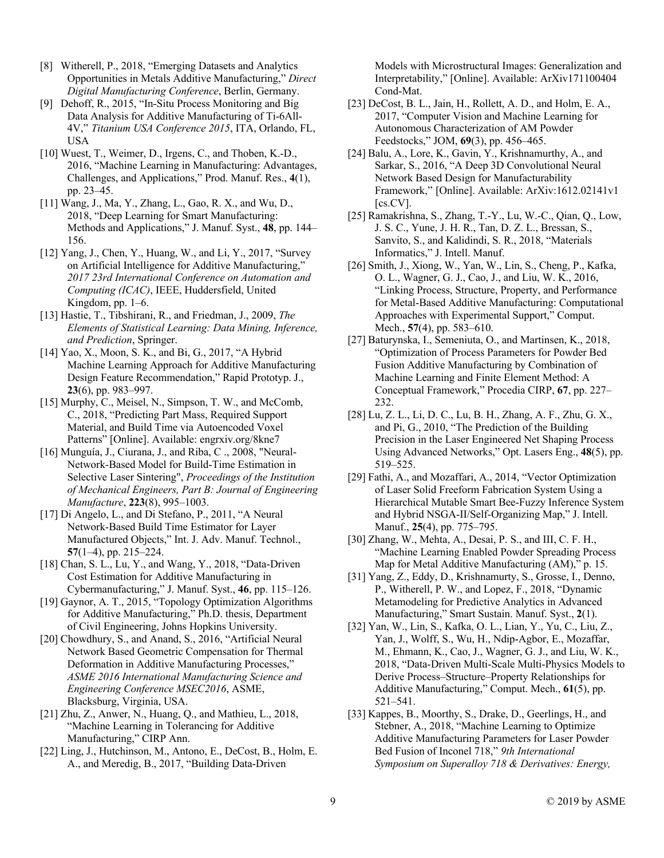- [8] Witherell, P., 2018, "Emerging Datasets and Analytics Opportunities in Metals Additive Manufacturing," *Direct Digital Manufacturing Conference*, Berlin, Germany.
- [9] Dehoff, R., 2015, "In-Situ Process Monitoring and Big Data Analysis for Additive Manufacturing of Ti-6All-4V," *Titanium USA Conference 2015*, ITA, Orlando, FL, USA
- [10] Wuest, T., Weimer, D., Irgens, C., and Thoben, K.-D., 2016, "Machine Learning in Manufacturing: Advantages, Challenges, and Applications," Prod. Manuf. Res., **4**(1), pp. 23–45.
- [11] Wang, J., Ma, Y., Zhang, L., Gao, R. X., and Wu, D., 2018, "Deep Learning for Smart Manufacturing: Methods and Applications," J. Manuf. Syst., **48**, pp. 144– 156.
- [12] Yang, J., Chen, Y., Huang, W., and Li, Y., 2017, "Survey on Artificial Intelligence for Additive Manufacturing," *2017 23rd International Conference on Automation and Computing (ICAC)*, IEEE, Huddersfield, United Kingdom, pp. 1–6.
- [13] Hastie, T., Tibshirani, R., and Friedman, J., 2009, *The Elements of Statistical Learning: Data Mining, Inference, and Prediction*, Springer.
- [14] Yao, X., Moon, S. K., and Bi, G., 2017, "A Hybrid Machine Learning Approach for Additive Manufacturing Design Feature Recommendation," Rapid Prototyp. J., **23**(6), pp. 983–997.
- [15] Murphy, C., Meisel, N., Simpson, T. W., and McComb, C., 2018, "Predicting Part Mass, Required Support Material, and Build Time via Autoencoded Voxel Patterns" [Online]. Available: engrxiv.org/8kne7
- [16] Munguía, J., Ciurana, J., and Riba, C., 2008, "Neural-Network-Based Model for Build-Time Estimation in Selective Laser Sintering", *Proceedings of the Institution of Mechanical Engineers, Part B: Journal of Engineering Manufacture*, **223**(8), 995–1003.
- [17] Di Angelo, L., and Di Stefano, P., 2011, "A Neural Network-Based Build Time Estimator for Layer Manufactured Objects," Int. J. Adv. Manuf. Technol., **57**(1–4), pp. 215–224.
- [18] Chan, S. L., Lu, Y., and Wang, Y., 2018, "Data-Driven Cost Estimation for Additive Manufacturing in Cybermanufacturing," J. Manuf. Syst., **46**, pp. 115–126.
- [19] Gaynor, A. T., 2015, "Topology Optimization Algorithms for Additive Manufacturing," Ph.D. thesis, Department of Civil Engineering, Johns Hopkins University.
- [20] Chowdhury, S., and Anand, S., 2016, "Artificial Neural Network Based Geometric Compensation for Thermal Deformation in Additive Manufacturing Processes," *ASME 2016 International Manufacturing Science and Engineering Conference MSEC2016*, ASME, Blacksburg, Virginia, USA.
- [21] Zhu, Z., Anwer, N., Huang, Q., and Mathieu, L., 2018, "Machine Learning in Tolerancing for Additive Manufacturing," CIRP Ann.
- [22] Ling, J., Hutchinson, M., Antono, E., DeCost, B., Holm, E. A., and Meredig, B., 2017, "Building Data-Driven

Models with Microstructural Images: Generalization and Interpretability," [Online]. Available: ArXiv171100404 Cond-Mat.

- [23] DeCost, B. L., Jain, H., Rollett, A. D., and Holm, E. A., 2017, "Computer Vision and Machine Learning for Autonomous Characterization of AM Powder Feedstocks," JOM, **69**(3), pp. 456–465.
- [24] Balu, A., Lore, K., Gavin, Y., Krishnamurthy, A., and Sarkar, S., 2016, "A Deep 3D Convolutional Neural Network Based Design for Manufacturability Framework," [Online]. Available: ArXiv:1612.02141v1  $[cs.CV]$ .
- [25] Ramakrishna, S., Zhang, T.-Y., Lu, W.-C., Qian, Q., Low, J. S. C., Yune, J. H. R., Tan, D. Z. L., Bressan, S., Sanvito, S., and Kalidindi, S. R., 2018, "Materials Informatics," J. Intell. Manuf.
- [26] Smith, J., Xiong, W., Yan, W., Lin, S., Cheng, P., Kafka, O. L., Wagner, G. J., Cao, J., and Liu, W. K., 2016, "Linking Process, Structure, Property, and Performance for Metal-Based Additive Manufacturing: Computational Approaches with Experimental Support," Comput. Mech., **57**(4), pp. 583–610.
- [27] Baturynska, I., Semeniuta, O., and Martinsen, K., 2018, "Optimization of Process Parameters for Powder Bed Fusion Additive Manufacturing by Combination of Machine Learning and Finite Element Method: A Conceptual Framework," Procedia CIRP, **67**, pp. 227– 232.
- [28] Lu, Z. L., Li, D. C., Lu, B. H., Zhang, A. F., Zhu, G. X., and Pi, G., 2010, "The Prediction of the Building Precision in the Laser Engineered Net Shaping Process Using Advanced Networks," Opt. Lasers Eng., **48**(5), pp. 519–525.
- [29] Fathi, A., and Mozaffari, A., 2014, "Vector Optimization of Laser Solid Freeform Fabrication System Using a Hierarchical Mutable Smart Bee-Fuzzy Inference System and Hybrid NSGA-II/Self-Organizing Map," J. Intell. Manuf., **25**(4), pp. 775–795.
- [30] Zhang, W., Mehta, A., Desai, P. S., and III, C. F. H., "Machine Learning Enabled Powder Spreading Process Map for Metal Additive Manufacturing (AM)," p. 15.
- [31] Yang, Z., Eddy, D., Krishnamurty, S., Grosse, I., Denno, P., Witherell, P. W., and Lopez, F., 2018, "Dynamic Metamodeling for Predictive Analytics in Advanced Manufacturing," Smart Sustain. Manuf. Syst., **2**(1).
- [32] Yan, W., Lin, S., Kafka, O. L., Lian, Y., Yu, C., Liu, Z., Yan, J., Wolff, S., Wu, H., Ndip-Agbor, E., Mozaffar, M., Ehmann, K., Cao, J., Wagner, G. J., and Liu, W. K., 2018, "Data-Driven Multi-Scale Multi-Physics Models to Derive Process–Structure–Property Relationships for Additive Manufacturing," Comput. Mech., **61**(5), pp. 521–541.
- [33] Kappes, B., Moorthy, S., Drake, D., Geerlings, H., and Stebner, A., 2018, "Machine Learning to Optimize Additive Manufacturing Parameters for Laser Powder Bed Fusion of Inconel 718," *9th International Symposium on Superalloy 718 & Derivatives: Energy,*